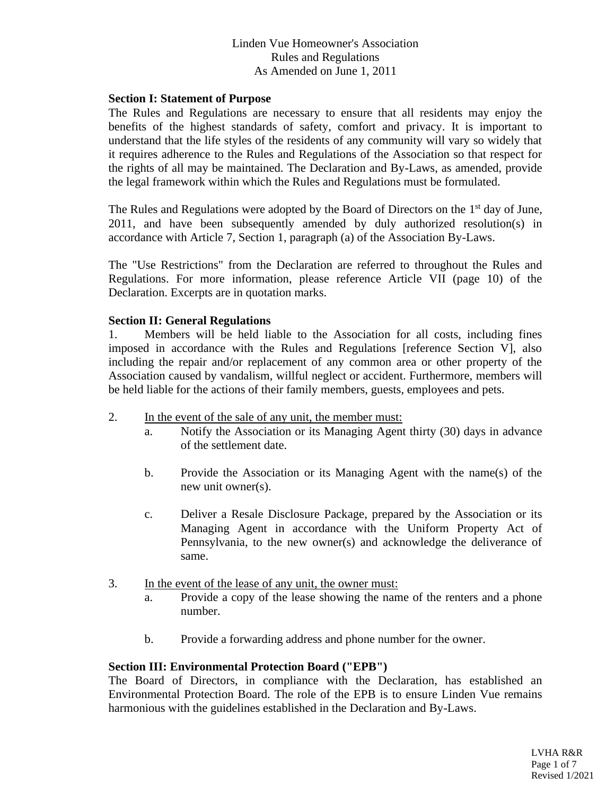# Linden Vue Homeowner's Association Rules and Regulations As Amended on June 1, 2011

### **Section I: Statement of Purpose**

The Rules and Regulations are necessary to ensure that all residents may enjoy the benefits of the highest standards of safety, comfort and privacy. It is important to understand that the life styles of the residents of any community will vary so widely that it requires adherence to the Rules and Regulations of the Association so that respect for the rights of all may be maintained. The Declaration and By-Laws, as amended, provide the legal framework within which the Rules and Regulations must be formulated.

The Rules and Regulations were adopted by the Board of Directors on the 1<sup>st</sup> day of June, 2011, and have been subsequently amended by duly authorized resolution(s) in accordance with Article 7, Section 1, paragraph (a) of the Association By-Laws.

The "Use Restrictions" from the Declaration are referred to throughout the Rules and Regulations. For more information, please reference Article VII (page 10) of the Declaration. Excerpts are in quotation marks.

### **Section II: General Regulations**

1. Members will be held liable to the Association for all costs, including fines imposed in accordance with the Rules and Regulations [reference Section V], also including the repair and/or replacement of any common area or other property of the Association caused by vandalism, willful neglect or accident. Furthermore, members will be held liable for the actions of their family members, guests, employees and pets.

- 2. In the event of the sale of any unit, the member must:
	- a. Notify the Association or its Managing Agent thirty (30) days in advance of the settlement date.
	- b. Provide the Association or its Managing Agent with the name(s) of the new unit owner(s).
	- c. Deliver a Resale Disclosure Package, prepared by the Association or its Managing Agent in accordance with the Uniform Property Act of Pennsylvania, to the new owner(s) and acknowledge the deliverance of same.
- 3. In the event of the lease of any unit, the owner must:
	- a. Provide a copy of the lease showing the name of the renters and a phone number.
	- b. Provide a forwarding address and phone number for the owner.

## **Section III: Environmental Protection Board ("EPB")**

The Board of Directors, in compliance with the Declaration, has established an Environmental Protection Board. The role of the EPB is to ensure Linden Vue remains harmonious with the guidelines established in the Declaration and By-Laws.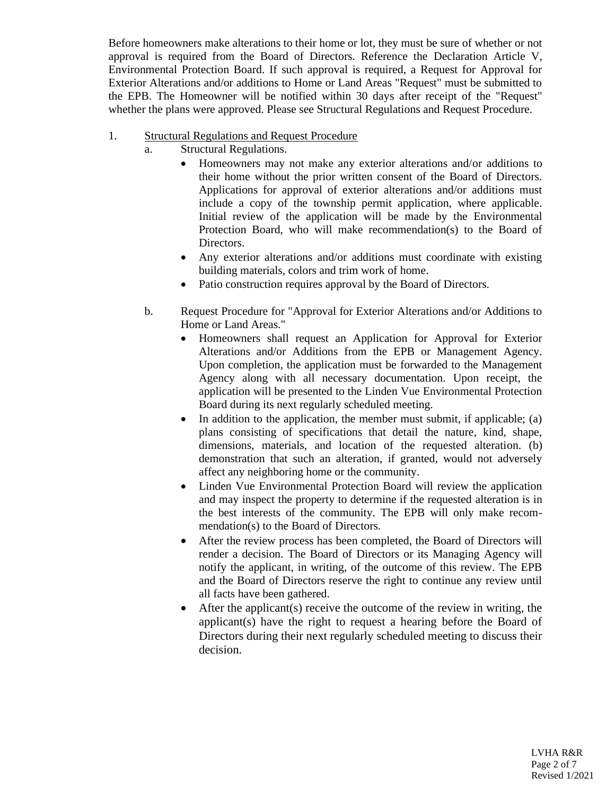Before homeowners make alterations to their home or lot, they must be sure of whether or not approval is required from the Board of Directors. Reference the Declaration Article V, Environmental Protection Board. If such approval is required, a Request for Approval for Exterior Alterations and/or additions to Home or Land Areas "Request" must be submitted to the EPB. The Homeowner will be notified within 30 days after receipt of the "Request" whether the plans were approved. Please see Structural Regulations and Request Procedure.

- 1. Structural Regulations and Request Procedure
	- a. Structural Regulations.
		- Homeowners may not make any exterior alterations and/or additions to their home without the prior written consent of the Board of Directors. Applications for approval of exterior alterations and/or additions must include a copy of the township permit application, where applicable. Initial review of the application will be made by the Environmental Protection Board, who will make recommendation(s) to the Board of Directors.
		- Any exterior alterations and/or additions must coordinate with existing building materials, colors and trim work of home.
		- Patio construction requires approval by the Board of Directors.
	- b. Request Procedure for "Approval for Exterior Alterations and/or Additions to Home or Land Areas."
		- Homeowners shall request an Application for Approval for Exterior Alterations and/or Additions from the EPB or Management Agency. Upon completion, the application must be forwarded to the Management Agency along with all necessary documentation. Upon receipt, the application will be presented to the Linden Vue Environmental Protection Board during its next regularly scheduled meeting.
		- In addition to the application, the member must submit, if applicable; (a) plans consisting of specifications that detail the nature, kind, shape, dimensions, materials, and location of the requested alteration. (b) demonstration that such an alteration, if granted, would not adversely affect any neighboring home or the community.
		- Linden Vue Environmental Protection Board will review the application and may inspect the property to determine if the requested alteration is in the best interests of the community. The EPB will only make recommendation(s) to the Board of Directors.
		- After the review process has been completed, the Board of Directors will render a decision. The Board of Directors or its Managing Agency will notify the applicant, in writing, of the outcome of this review. The EPB and the Board of Directors reserve the right to continue any review until all facts have been gathered.
		- After the applicant(s) receive the outcome of the review in writing, the applicant(s) have the right to request a hearing before the Board of Directors during their next regularly scheduled meeting to discuss their decision.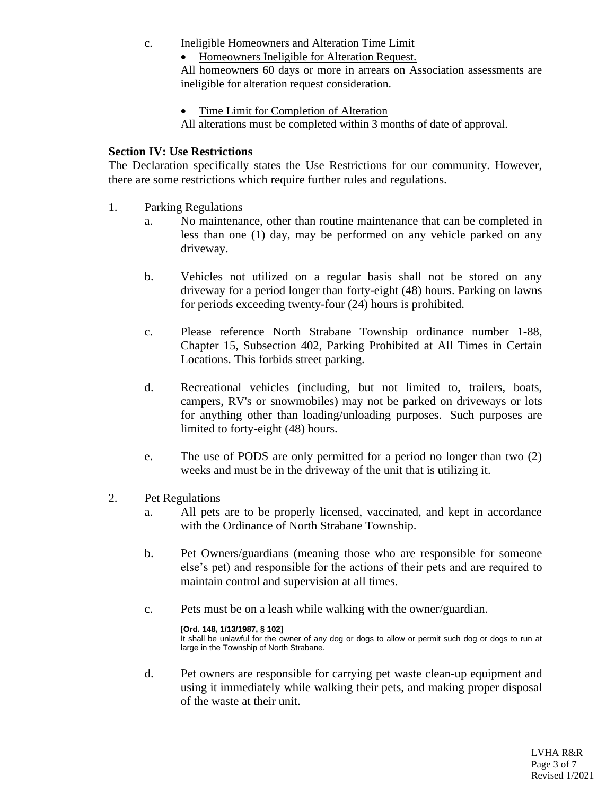- c. Ineligible Homeowners and Alteration Time Limit
	- Homeowners Ineligible for Alteration Request.

All homeowners 60 days or more in arrears on Association assessments are ineligible for alteration request consideration.

• Time Limit for Completion of Alteration

All alterations must be completed within 3 months of date of approval.

## **Section IV: Use Restrictions**

The Declaration specifically states the Use Restrictions for our community. However, there are some restrictions which require further rules and regulations.

- 1. Parking Regulations
	- a. No maintenance, other than routine maintenance that can be completed in less than one (1) day, may be performed on any vehicle parked on any driveway.
	- b. Vehicles not utilized on a regular basis shall not be stored on any driveway for a period longer than forty-eight (48) hours. Parking on lawns for periods exceeding twenty-four (24) hours is prohibited.
	- c. Please reference North Strabane Township ordinance number 1-88, Chapter 15, Subsection 402, Parking Prohibited at All Times in Certain Locations. This forbids street parking.
	- d. Recreational vehicles (including, but not limited to, trailers, boats, campers, RV's or snowmobiles) may not be parked on driveways or lots for anything other than loading/unloading purposes. Such purposes are limited to forty-eight (48) hours.
	- e. The use of PODS are only permitted for a period no longer than two (2) weeks and must be in the driveway of the unit that is utilizing it.
- 2. Pet Regulations
	- a. All pets are to be properly licensed, vaccinated, and kept in accordance with the Ordinance of North Strabane Township.
	- b. Pet Owners/guardians (meaning those who are responsible for someone else's pet) and responsible for the actions of their pets and are required to maintain control and supervision at all times.
	- c. Pets must be on a leash while walking with the owner/guardian.

#### **[Ord. 148, 1/13/1987, § 102]**

It shall be unlawful for the owner of any dog or dogs to allow or permit such dog or dogs to run at large in the Township of North Strabane.

d. Pet owners are responsible for carrying pet waste clean-up equipment and using it immediately while walking their pets, and making proper disposal of the waste at their unit.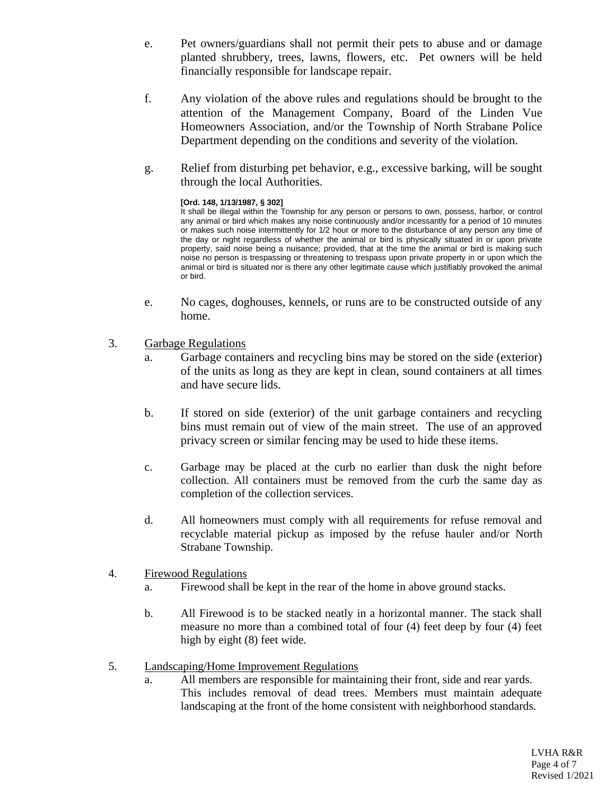- e. Pet owners/guardians shall not permit their pets to abuse and or damage planted shrubbery, trees, lawns, flowers, etc. Pet owners will be held financially responsible for landscape repair.
- f. Any violation of the above rules and regulations should be brought to the attention of the Management Company, Board of the Linden Vue Homeowners Association, and/or the Township of North Strabane Police Department depending on the conditions and severity of the violation.
- g. Relief from disturbing pet behavior, e.g., excessive barking, will be sought through the local Authorities.

#### **[Ord. 148, 1/13/1987, § 302]**

It shall be illegal within the Township for any person or persons to own, possess, harbor, or control any animal or bird which makes any noise continuously and/or incessantly for a period of 10 minutes or makes such noise intermittently for 1/2 hour or more to the disturbance of any person any time of the day or night regardless of whether the animal or bird is physically situated in or upon private property, said noise being a nuisance; provided, that at the time the animal or bird is making such noise no person is trespassing or threatening to trespass upon private property in or upon which the animal or bird is situated nor is there any other legitimate cause which justifiably provoked the animal or bird.

- e. No cages, doghouses, kennels, or runs are to be constructed outside of any home.
- 3. Garbage Regulations
	- a. Garbage containers and recycling bins may be stored on the side (exterior) of the units as long as they are kept in clean, sound containers at all times and have secure lids.
	- b. If stored on side (exterior) of the unit garbage containers and recycling bins must remain out of view of the main street. The use of an approved privacy screen or similar fencing may be used to hide these items.
	- c. Garbage may be placed at the curb no earlier than dusk the night before collection. All containers must be removed from the curb the same day as completion of the collection services.
	- d. All homeowners must comply with all requirements for refuse removal and recyclable material pickup as imposed by the refuse hauler and/or North Strabane Township.
- 4. Firewood Regulations
	- a. Firewood shall be kept in the rear of the home in above ground stacks.
	- b. All Firewood is to be stacked neatly in a horizontal manner. The stack shall measure no more than a combined total of four (4) feet deep by four (4) feet high by eight (8) feet wide.
- 5. Landscaping/Home Improvement Regulations
	- a. All members are responsible for maintaining their front, side and rear yards. This includes removal of dead trees. Members must maintain adequate landscaping at the front of the home consistent with neighborhood standards.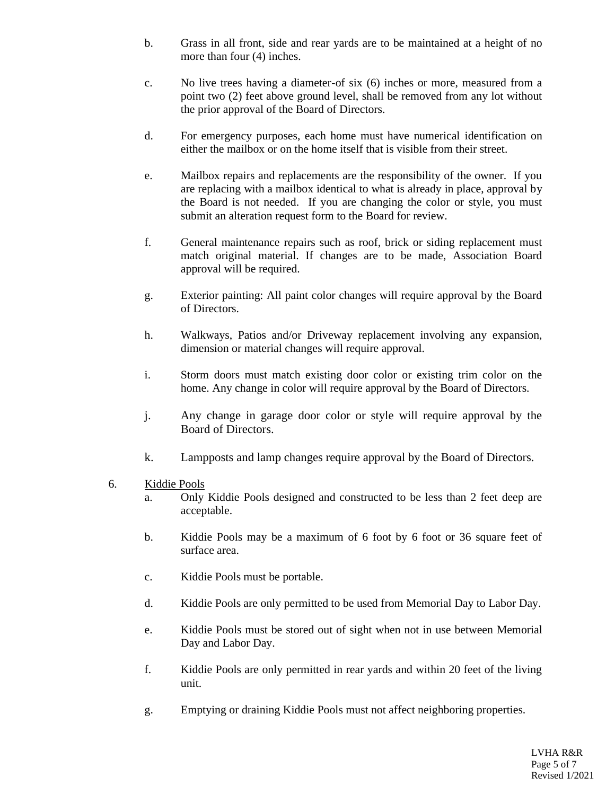- b. Grass in all front, side and rear yards are to be maintained at a height of no more than four (4) inches.
- c. No live trees having a diameter-of six (6) inches or more, measured from a point two (2) feet above ground level, shall be removed from any lot without the prior approval of the Board of Directors.
- d. For emergency purposes, each home must have numerical identification on either the mailbox or on the home itself that is visible from their street.
- e. Mailbox repairs and replacements are the responsibility of the owner. If you are replacing with a mailbox identical to what is already in place, approval by the Board is not needed. If you are changing the color or style, you must submit an alteration request form to the Board for review.
- f. General maintenance repairs such as roof, brick or siding replacement must match original material. If changes are to be made, Association Board approval will be required.
- g. Exterior painting: All paint color changes will require approval by the Board of Directors.
- h. Walkways, Patios and/or Driveway replacement involving any expansion, dimension or material changes will require approval.
- i. Storm doors must match existing door color or existing trim color on the home. Any change in color will require approval by the Board of Directors.
- j. Any change in garage door color or style will require approval by the Board of Directors.
- k. Lampposts and lamp changes require approval by the Board of Directors.
- 6. Kiddie Pools
	- a. Only Kiddie Pools designed and constructed to be less than 2 feet deep are acceptable.
	- b. Kiddie Pools may be a maximum of 6 foot by 6 foot or 36 square feet of surface area.
	- c. Kiddie Pools must be portable.
	- d. Kiddie Pools are only permitted to be used from Memorial Day to Labor Day.
	- e. Kiddie Pools must be stored out of sight when not in use between Memorial Day and Labor Day.
	- f. Kiddie Pools are only permitted in rear yards and within 20 feet of the living unit.
	- g. Emptying or draining Kiddie Pools must not affect neighboring properties.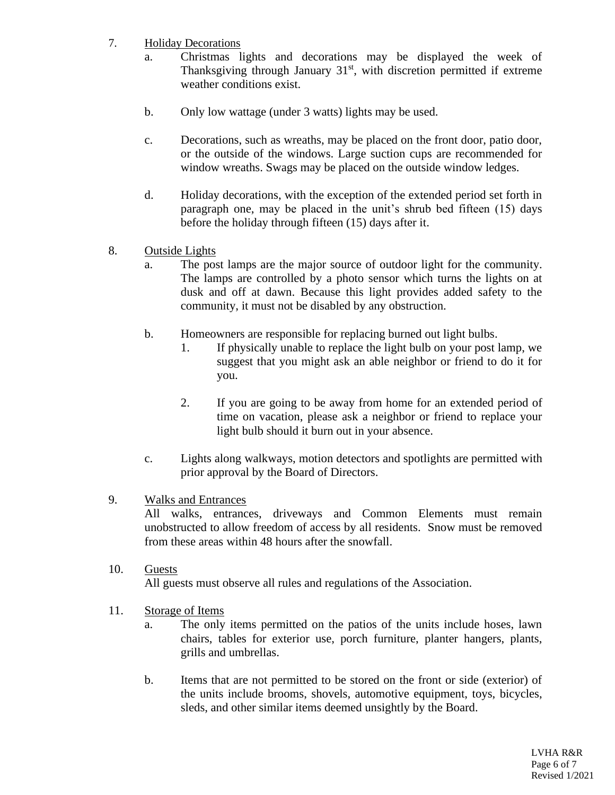- 7. Holiday Decorations
	- a. Christmas lights and decorations may be displayed the week of Thanksgiving through January  $31<sup>st</sup>$ , with discretion permitted if extreme weather conditions exist.
	- b. Only low wattage (under 3 watts) lights may be used.
	- c. Decorations, such as wreaths, may be placed on the front door, patio door, or the outside of the windows. Large suction cups are recommended for window wreaths. Swags may be placed on the outside window ledges.
	- d. Holiday decorations, with the exception of the extended period set forth in paragraph one, may be placed in the unit's shrub bed fifteen (15) days before the holiday through fifteen (15) days after it.
- 8. Outside Lights
	- a. The post lamps are the major source of outdoor light for the community. The lamps are controlled by a photo sensor which turns the lights on at dusk and off at dawn. Because this light provides added safety to the community, it must not be disabled by any obstruction.
	- b. Homeowners are responsible for replacing burned out light bulbs.
		- 1. If physically unable to replace the light bulb on your post lamp, we suggest that you might ask an able neighbor or friend to do it for you.
		- 2. If you are going to be away from home for an extended period of time on vacation, please ask a neighbor or friend to replace your light bulb should it burn out in your absence.
	- c. Lights along walkways, motion detectors and spotlights are permitted with prior approval by the Board of Directors.
- 9. Walks and Entrances

All walks, entrances, driveways and Common Elements must remain unobstructed to allow freedom of access by all residents. Snow must be removed from these areas within 48 hours after the snowfall.

- 10. Guests All guests must observe all rules and regulations of the Association.
- 11. Storage of Items
	- a. The only items permitted on the patios of the units include hoses, lawn chairs, tables for exterior use, porch furniture, planter hangers, plants, grills and umbrellas.
	- b. Items that are not permitted to be stored on the front or side (exterior) of the units include brooms, shovels, automotive equipment, toys, bicycles, sleds, and other similar items deemed unsightly by the Board.